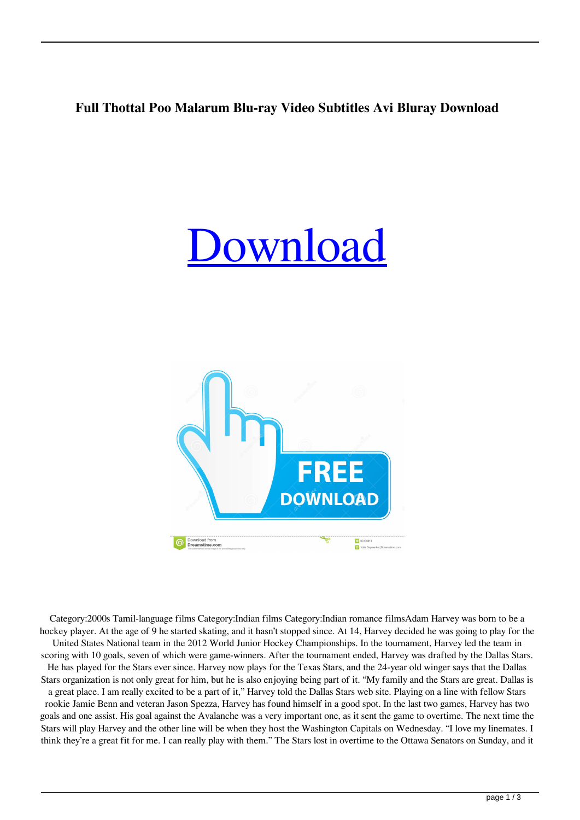## **Full Thottal Poo Malarum Blu-ray Video Subtitles Avi Bluray Download**

## [Download](http://evacdir.com/ZG93bmxvYWR8a3UzWTJKaWZId3hOalV5TnpRd09EWTJmSHd5TlRjMGZId29UU2tnY21WaFpDMWliRzluSUZ0R1lYTjBJRWRGVGww/entreat/phosphorus.dGhvdHRhbCBwb28gbWFsYXJ1bSBtb3ZpZSBmcmVlIGRvd25sb2FkdGh/footed/vrije.hydrous?.)



Category:2000s Tamil-language films Category:Indian films Category:Indian romance filmsAdam Harvey was born to be a hockey player. At the age of 9 he started skating, and it hasn't stopped since. At 14, Harvey decided he was going to play for the United States National team in the 2012 World Junior Hockey Championships. In the tournament, Harvey led the team in scoring with 10 goals, seven of which were game-winners. After the tournament ended, Harvey was drafted by the Dallas Stars. He has played for the Stars ever since. Harvey now plays for the Texas Stars, and the 24-year old winger says that the Dallas Stars organization is not only great for him, but he is also enjoying being part of it. "My family and the Stars are great. Dallas is a great place. I am really excited to be a part of it," Harvey told the Dallas Stars web site. Playing on a line with fellow Stars rookie Jamie Benn and veteran Jason Spezza, Harvey has found himself in a good spot. In the last two games, Harvey has two goals and one assist. His goal against the Avalanche was a very important one, as it sent the game to overtime. The next time the Stars will play Harvey and the other line will be when they host the Washington Capitals on Wednesday. "I love my linemates. I think they're a great fit for me. I can really play with them." The Stars lost in overtime to the Ottawa Senators on Sunday, and it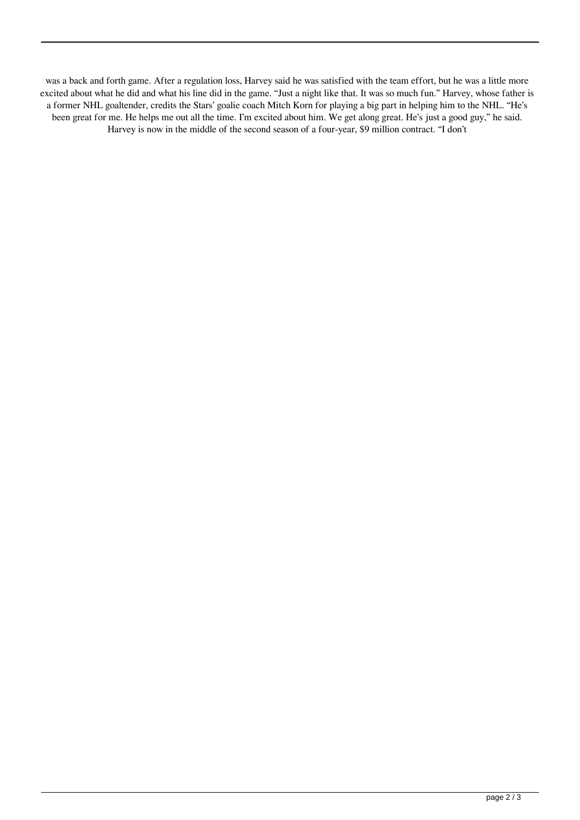was a back and forth game. After a regulation loss, Harvey said he was satisfied with the team effort, but he was a little more excited about what he did and what his line did in the game. "Just a night like that. It was so much fun." Harvey, whose father is a former NHL goaltender, credits the Stars' goalie coach Mitch Korn for playing a big part in helping him to the NHL. "He's been great for me. He helps me out all the time. I'm excited about him. We get along great. He's just a good guy," he said. Harvey is now in the middle of the second season of a four-year, \$9 million contract. "I don't